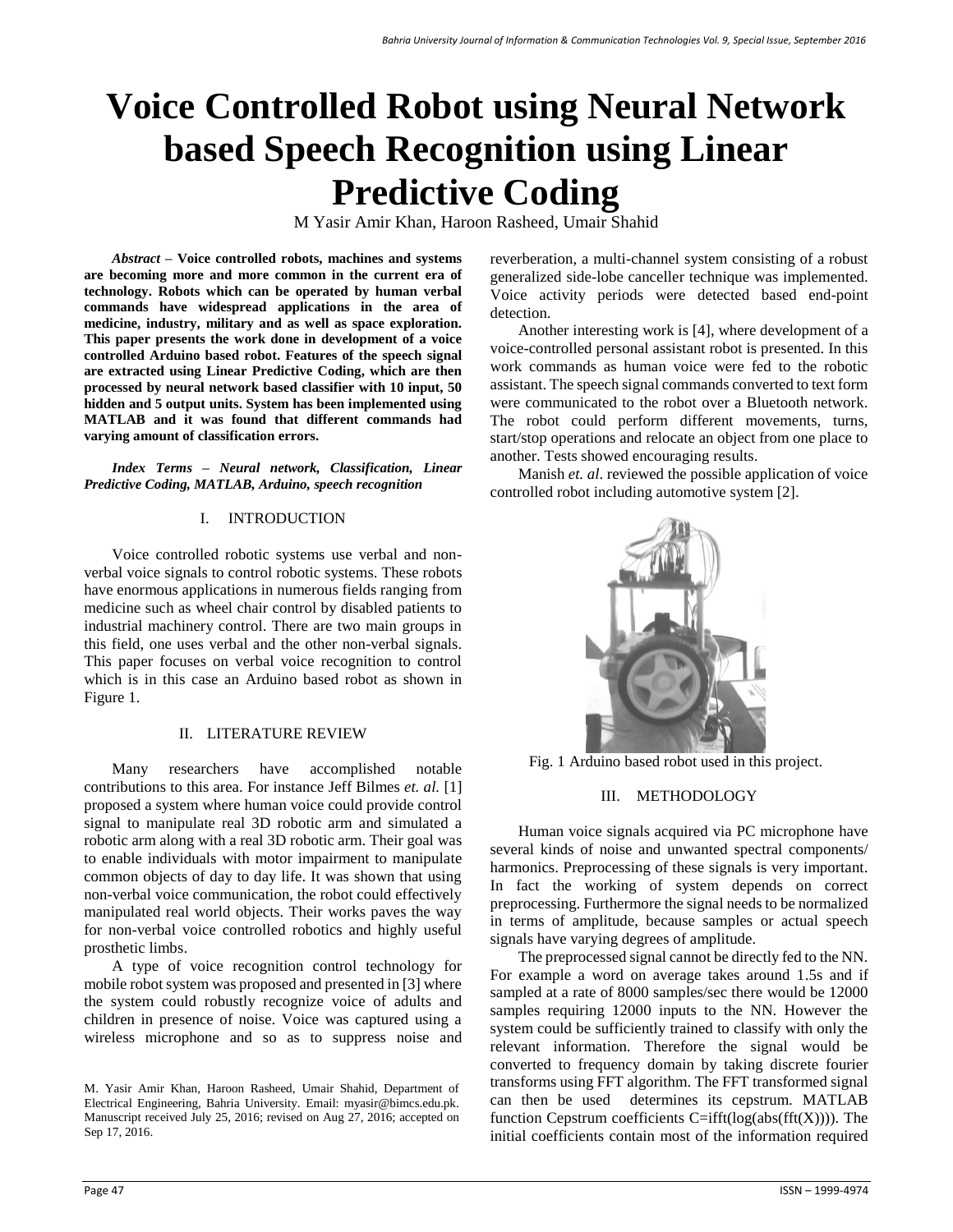# **Voice Controlled Robot using Neural Network based Speech Recognition using Linear Predictive Coding**

M Yasir Amir Khan, Haroon Rasheed, Umair Shahid

*Abstract* **– Voice controlled robots, machines and systems are becoming more and more common in the current era of technology. Robots which can be operated by human verbal commands have widespread applications in the area of medicine, industry, military and as well as space exploration. This paper presents the work done in development of a voice controlled Arduino based robot. Features of the speech signal are extracted using Linear Predictive Coding, which are then processed by neural network based classifier with 10 input, 50 hidden and 5 output units. System has been implemented using MATLAB and it was found that different commands had varying amount of classification errors.**

*Index Terms* **–** *Neural network, Classification, Linear Predictive Coding, MATLAB, Arduino, speech recognition*

## I. INTRODUCTION

Voice controlled robotic systems use verbal and nonverbal voice signals to control robotic systems. These robots have enormous applications in numerous fields ranging from medicine such as wheel chair control by disabled patients to industrial machinery control. There are two main groups in this field, one uses verbal and the other non-verbal signals. This paper focuses on verbal voice recognition to control which is in this case an Arduino based robot as shown in Figure 1.

## II. LITERATURE REVIEW

Many researchers have accomplished notable contributions to this area. For instance Jeff Bilmes *et. al.* [1] proposed a system where human voice could provide control signal to manipulate real 3D robotic arm and simulated a robotic arm along with a real 3D robotic arm. Their goal was to enable individuals with motor impairment to manipulate common objects of day to day life. It was shown that using non-verbal voice communication, the robot could effectively manipulated real world objects. Their works paves the way for non-verbal voice controlled robotics and highly useful prosthetic limbs.

A type of voice recognition control technology for mobile robot system was proposed and presented in [3] where the system could robustly recognize voice of adults and children in presence of noise. Voice was captured using a wireless microphone and so as to suppress noise and

reverberation, a multi-channel system consisting of a robust generalized side-lobe canceller technique was implemented. Voice activity periods were detected based end-point detection.

Another interesting work is [4], where development of a voice-controlled personal assistant robot is presented. In this work commands as human voice were fed to the robotic assistant. The speech signal commands converted to text form were communicated to the robot over a Bluetooth network. The robot could perform different movements, turns, start/stop operations and relocate an object from one place to another. Tests showed encouraging results.

Manish *et. al*. reviewed the possible application of voice controlled robot including automotive system [2].



Fig. 1 Arduino based robot used in this project.

# III. METHODOLOGY

Human voice signals acquired via PC microphone have several kinds of noise and unwanted spectral components/ harmonics. Preprocessing of these signals is very important. In fact the working of system depends on correct preprocessing. Furthermore the signal needs to be normalized in terms of amplitude, because samples or actual speech signals have varying degrees of amplitude.

The preprocessed signal cannot be directly fed to the NN. For example a word on average takes around 1.5s and if sampled at a rate of 8000 samples/sec there would be 12000 samples requiring 12000 inputs to the NN. However the system could be sufficiently trained to classify with only the relevant information. Therefore the signal would be converted to frequency domain by taking discrete fourier transforms using FFT algorithm. The FFT transformed signal can then be used determines its cepstrum. MATLAB function Cepstrum coefficients  $C=ifft(log(abs(fft(X))))$ . The initial coefficients contain most of the information required

M. Yasir Amir Khan, Haroon Rasheed, Umair Shahid, Department of Electrical Engineering, Bahria University. Email: myasir@bimcs.edu.pk. Manuscript received July 25, 2016; revised on Aug 27, 2016; accepted on Sep 17, 2016.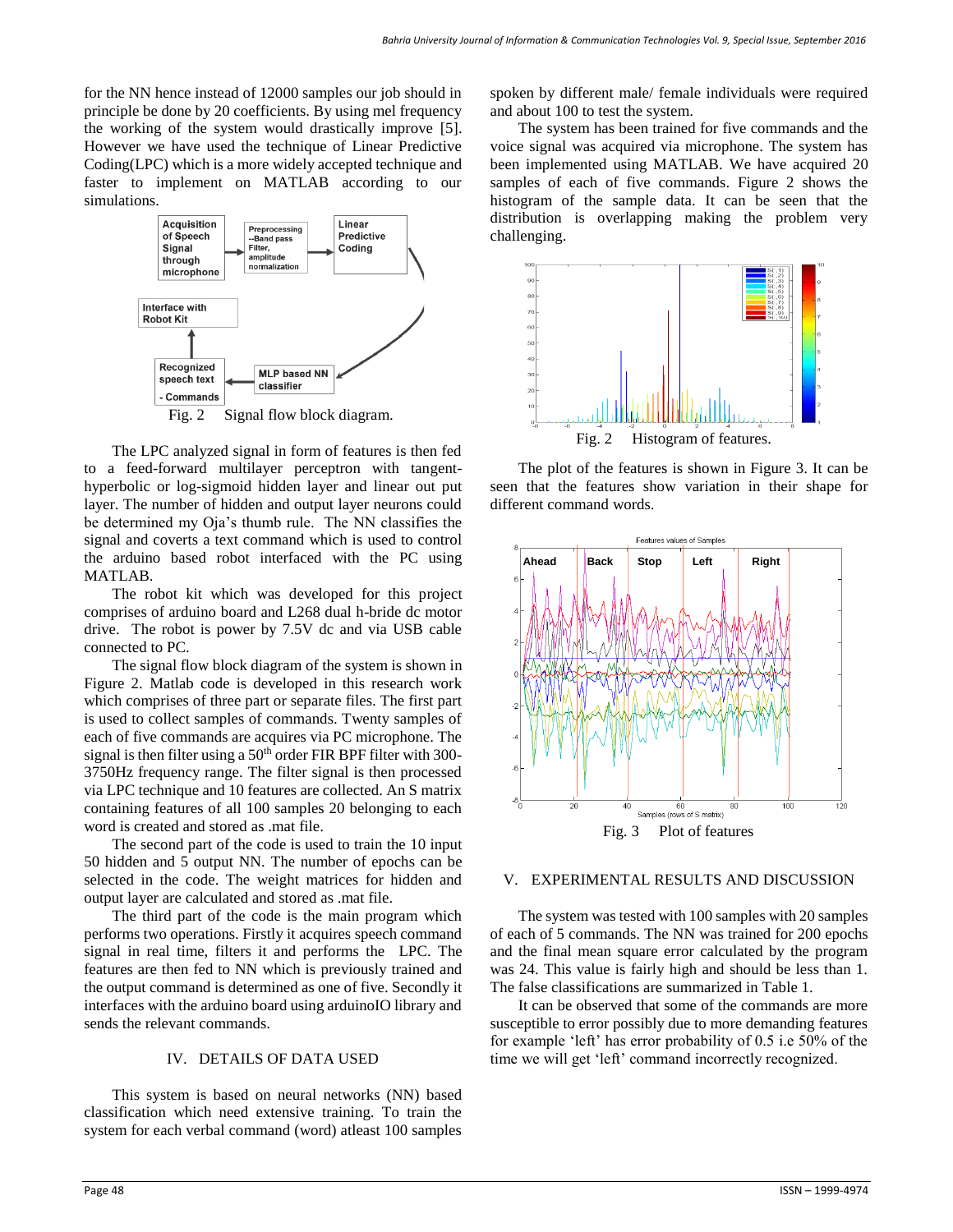for the NN hence instead of 12000 samples our job should in principle be done by 20 coefficients. By using mel frequency the working of the system would drastically improve [5]. However we have used the technique of Linear Predictive Coding(LPC) which is a more widely accepted technique and faster to implement on MATLAB according to our simulations.



Fig. 2 Signal flow block diagram.

The LPC analyzed signal in form of features is then fed to a feed-forward multilayer perceptron with tangenthyperbolic or log-sigmoid hidden layer and linear out put layer. The number of hidden and output layer neurons could be determined my Oja's thumb rule. The NN classifies the signal and coverts a text command which is used to control the arduino based robot interfaced with the PC using MATLAB.

The robot kit which was developed for this project comprises of arduino board and L268 dual h-bride dc motor drive. The robot is power by 7.5V dc and via USB cable connected to PC.

The signal flow block diagram of the system is shown in Figure 2. Matlab code is developed in this research work which comprises of three part or separate files. The first part is used to collect samples of commands. Twenty samples of each of five commands are acquires via PC microphone. The signal is then filter using a  $50<sup>th</sup>$  order FIR BPF filter with 300-3750Hz frequency range. The filter signal is then processed via LPC technique and 10 features are collected. An S matrix containing features of all 100 samples 20 belonging to each word is created and stored as .mat file.

The second part of the code is used to train the 10 input 50 hidden and 5 output NN. The number of epochs can be selected in the code. The weight matrices for hidden and output layer are calculated and stored as .mat file.

The third part of the code is the main program which performs two operations. Firstly it acquires speech command signal in real time, filters it and performs the LPC. The features are then fed to NN which is previously trained and the output command is determined as one of five. Secondly it interfaces with the arduino board using arduinoIO library and sends the relevant commands.

#### IV. DETAILS OF DATA USED

This system is based on neural networks (NN) based classification which need extensive training. To train the system for each verbal command (word) atleast 100 samples spoken by different male/ female individuals were required and about 100 to test the system.

The system has been trained for five commands and the voice signal was acquired via microphone. The system has been implemented using MATLAB. We have acquired 20 samples of each of five commands. Figure 2 shows the histogram of the sample data. It can be seen that the distribution is overlapping making the problem very challenging.



The plot of the features is shown in Figure 3. It can be seen that the features show variation in their shape for different command words.



## V. EXPERIMENTAL RESULTS AND DISCUSSION

The system was tested with 100 samples with 20 samples of each of 5 commands. The NN was trained for 200 epochs and the final mean square error calculated by the program was 24. This value is fairly high and should be less than 1. The false classifications are summarized in Table 1.

It can be observed that some of the commands are more susceptible to error possibly due to more demanding features for example 'left' has error probability of 0.5 i.e 50% of the time we will get 'left' command incorrectly recognized.